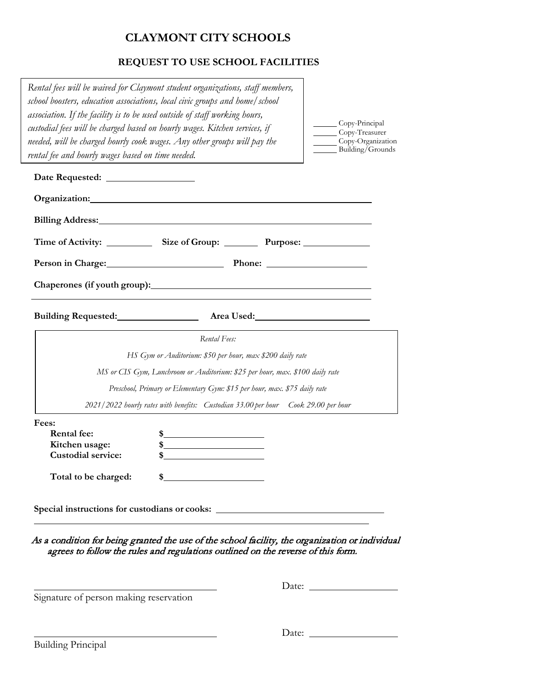## **CLAYMONT CITY SCHOOLS**

## **REQUEST TO USE SCHOOL FACILITIES**

| Rental fees will be waived for Claymont student organizations, staff members,<br>school boosters, education associations, local civic groups and home/school<br>association. If the facility is to be used outside of staff working hours,<br>custodial fees will be charged based on hourly wages. Kitchen services, if<br>needed, will be charged hourly cook wages. Any other groups will pay the<br>rental fee and hourly wages based on time needed. |                                                                                                    |  | Copy-Principal<br>Copy-Treasurer<br>Copy-Organization<br>Building/Grounds |
|-----------------------------------------------------------------------------------------------------------------------------------------------------------------------------------------------------------------------------------------------------------------------------------------------------------------------------------------------------------------------------------------------------------------------------------------------------------|----------------------------------------------------------------------------------------------------|--|---------------------------------------------------------------------------|
| Date Requested: _________________                                                                                                                                                                                                                                                                                                                                                                                                                         |                                                                                                    |  |                                                                           |
| Organization: Changes and Changes and Changes and Changes and Changes and Changes and Changes and Changes and Changes and Changes and Changes and Changes and Changes and Changes and Changes and Changes and Changes and Chan                                                                                                                                                                                                                            |                                                                                                    |  |                                                                           |
| Billing Address: No. 1996                                                                                                                                                                                                                                                                                                                                                                                                                                 |                                                                                                    |  |                                                                           |
|                                                                                                                                                                                                                                                                                                                                                                                                                                                           |                                                                                                    |  |                                                                           |
|                                                                                                                                                                                                                                                                                                                                                                                                                                                           | Person in Charge: Phone: Phone: 2003                                                               |  |                                                                           |
|                                                                                                                                                                                                                                                                                                                                                                                                                                                           |                                                                                                    |  |                                                                           |
| Building Requested: <u>_____________________</u> Area Used: __________________________                                                                                                                                                                                                                                                                                                                                                                    |                                                                                                    |  |                                                                           |
|                                                                                                                                                                                                                                                                                                                                                                                                                                                           | Rental Fees:                                                                                       |  |                                                                           |
|                                                                                                                                                                                                                                                                                                                                                                                                                                                           | HS Gym or Auditorium: \$50 per hour, max \$200 daily rate                                          |  |                                                                           |
|                                                                                                                                                                                                                                                                                                                                                                                                                                                           | MS or CIS Gym, Lunchroom or Auditorium: \$25 per hour, max. \$100 daily rate                       |  |                                                                           |
|                                                                                                                                                                                                                                                                                                                                                                                                                                                           | Preschool, Primary or Elementary Gym: \$15 per hour, max. \$75 daily rate                          |  |                                                                           |
|                                                                                                                                                                                                                                                                                                                                                                                                                                                           | 2021/2022 hourly rates with benefits: Custodian 33.00 per hour Cook 29.00 per hour                 |  |                                                                           |
| Fees:<br><b>Rental fee:</b><br>Kitchen usage:<br><b>Custodial service:</b>                                                                                                                                                                                                                                                                                                                                                                                | $\frac{1}{2}$<br>$\frac{\text{S}}{\text{S}}$<br><u> 1989 - John Stein, Amerikaansk politiker (</u> |  |                                                                           |
| Total to be charged:                                                                                                                                                                                                                                                                                                                                                                                                                                      |                                                                                                    |  |                                                                           |
| Special instructions for custodians or cooks:                                                                                                                                                                                                                                                                                                                                                                                                             |                                                                                                    |  |                                                                           |

agrees to follow the rules and regulations outlined on the reverse of this form.

 $\overline{\phantom{0}}$ 

 $\overline{\phantom{0}}$ 

Signature of person making reservation

Date:

Date: